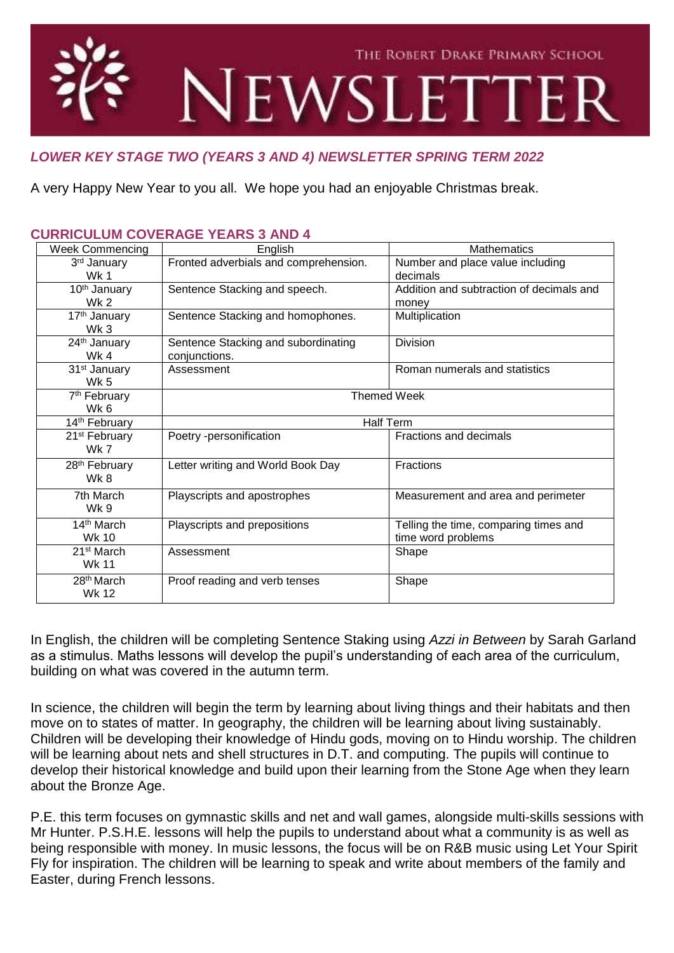

# *LOWER KEY STAGE TWO (YEARS 3 AND 4) NEWSLETTER SPRING TERM 2022*

A very Happy New Year to you all. We hope you had an enjoyable Christmas break.

| <b>Week Commencing</b>                      | English                                              | <b>Mathematics</b>                                          |
|---------------------------------------------|------------------------------------------------------|-------------------------------------------------------------|
| 3rd January<br><b>Wk 1</b>                  | Fronted adverbials and comprehension.                | Number and place value including<br>decimals                |
| 10 <sup>th</sup> January<br>Wk <sub>2</sub> | Sentence Stacking and speech.                        | Addition and subtraction of decimals and<br>money           |
| 17 <sup>th</sup> January<br>Wk <sub>3</sub> | Sentence Stacking and homophones.                    | Multiplication                                              |
| 24th January<br>Wk 4                        | Sentence Stacking and subordinating<br>conjunctions. | Division                                                    |
| 31 <sup>st</sup> January<br><b>Wk 5</b>     | Assessment                                           | Roman numerals and statistics                               |
| 7 <sup>th</sup> February<br>Wk 6            | <b>Themed Week</b>                                   |                                                             |
| 14th February                               | <b>Half Term</b>                                     |                                                             |
| 21 <sup>st</sup> February<br>Wk 7           | Poetry -personification                              | Fractions and decimals                                      |
| 28 <sup>th</sup> February<br>Wk 8           | Letter writing and World Book Day                    | Fractions                                                   |
| 7th March<br>Wk 9                           | Playscripts and apostrophes                          | Measurement and area and perimeter                          |
| 14 <sup>th</sup> March<br>Wk 10             | Playscripts and prepositions                         | Telling the time, comparing times and<br>time word problems |
| 21 <sup>st</sup> March<br><b>Wk 11</b>      | Assessment                                           | Shape                                                       |
| 28 <sup>th</sup> March<br>Wk 12             | Proof reading and verb tenses                        | Shape                                                       |

## **CURRICULUM COVERAGE YEARS 3 AND 4**

In English, the children will be completing Sentence Staking using *Azzi in Between* by Sarah Garland as a stimulus. Maths lessons will develop the pupil's understanding of each area of the curriculum, building on what was covered in the autumn term.

In science, the children will begin the term by learning about living things and their habitats and then move on to states of matter. In geography, the children will be learning about living sustainably. Children will be developing their knowledge of Hindu gods, moving on to Hindu worship. The children will be learning about nets and shell structures in D.T. and computing. The pupils will continue to develop their historical knowledge and build upon their learning from the Stone Age when they learn about the Bronze Age.

P.E. this term focuses on gymnastic skills and net and wall games, alongside multi-skills sessions with Mr Hunter. P.S.H.E. lessons will help the pupils to understand about what a community is as well as being responsible with money. In music lessons, the focus will be on R&B music using Let Your Spirit Fly for inspiration. The children will be learning to speak and write about members of the family and Easter, during French lessons.